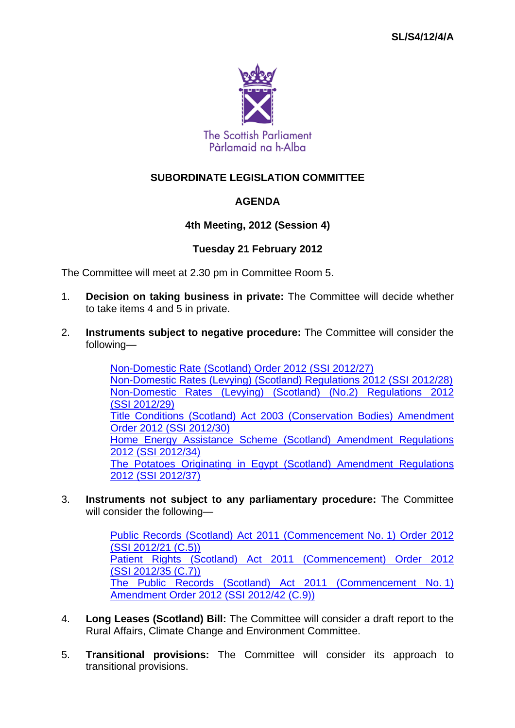

# **SUBORDINATE LEGISLATION COMMITTEE**

## **AGENDA**

## **4th Meeting, 2012 (Session 4)**

## **Tuesday 21 February 2012**

The Committee will meet at 2.30 pm in Committee Room 5.

- 1. **Decision on taking business in private:** The Committee will decide whether to take items 4 and 5 in private.
- 2. **Instruments subject to negative procedure:** The Committee will consider the following—

Non-Domestic Rate (Scotland) Order 2012 (SSI 2012/27) Non-Domestic Rates (Levying) (Scotland) Regulations 2012 (SSI 2012/28) Non-Domestic Rates (Levying) (Scotland) (No.2) Regulations 2012 (SSI 2012/29) Title Conditions (Scotland) Act 2003 (Conservation Bodies) Amendment Order 2012 (SSI 2012/30) Home Energy Assistance Scheme (Scotland) Amendment Regulations 2012 (SSI 2012/34) The Potatoes Originating in Egypt (Scotland) Amendment Regulations 2012 (SSI 2012/37)

3. **Instruments not subject to any parliamentary procedure:** The Committee will consider the following—

> Public Records (Scotland) Act 2011 (Commencement No. 1) Order 2012 (SSI 2012/21 (C.5)) Patient Rights (Scotland) Act 2011 (Commencement) Order 2012 (SSI 2012/35 (C.7)) The Public Records (Scotland) Act 2011 (Commencement No. 1) Amendment Order 2012 (SSI 2012/42 (C.9))

- 4. **Long Leases (Scotland) Bill:** The Committee will consider a draft report to the Rural Affairs, Climate Change and Environment Committee.
- 5. **Transitional provisions:** The Committee will consider its approach to transitional provisions.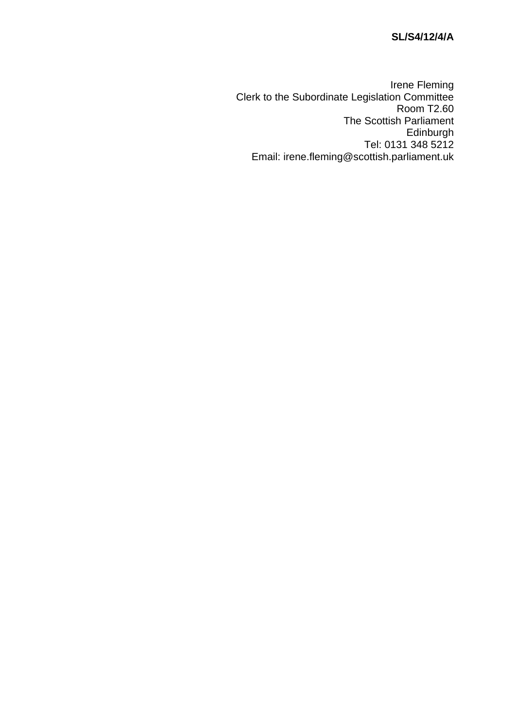# **SL/S4/12/4/A**

Irene Fleming Clerk to the Subordinate Legislation Committee Room T2.60 The Scottish Parliament Edinburgh Tel: 0131 348 5212 Email: irene.fleming@scottish.parliament.uk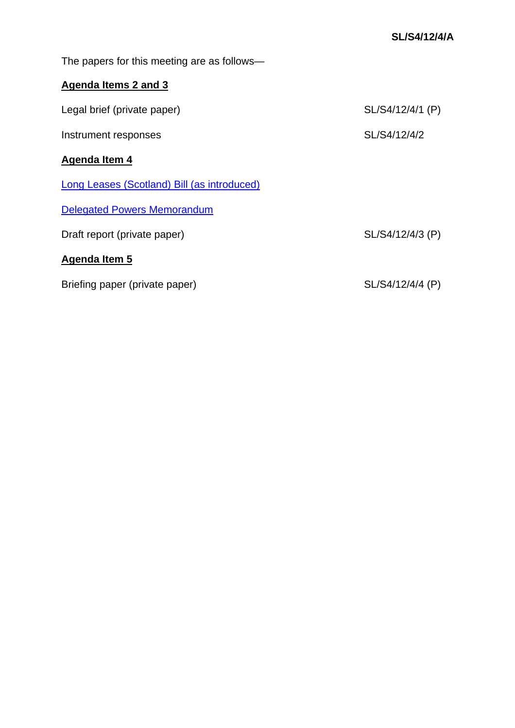The papers for this meeting are as follows—

# **Agenda Items 2 and 3**

| Legal brief (private paper)                 | SL/S4/12/4/1 (P) |
|---------------------------------------------|------------------|
| Instrument responses                        | SL/S4/12/4/2     |
| Agenda Item 4                               |                  |
| Long Leases (Scotland) Bill (as introduced) |                  |
| <b>Delegated Powers Memorandum</b>          |                  |
| Draft report (private paper)                | SL/S4/12/4/3 (P) |
| Agenda Item 5                               |                  |
| Briefing paper (private paper)              | SL/S4/12/4/4 (P) |